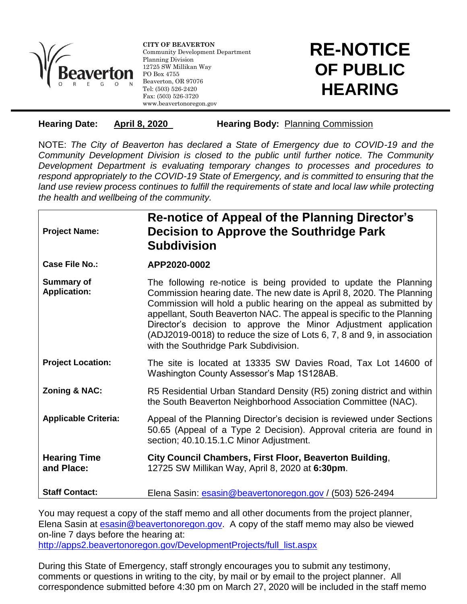

l

**CITY OF BEAVERTON** Community Development Department Planning Division 12725 SW Millikan Way PO Box 4755 Beaverton, OR 97076 Tel: (503) 526-2420 Fax: (503) 526-3720 www.beavertonoregon.gov

## **RE-NOTICE OF PUBLIC HEARING**

**Hearing Date: April 8, 2020 Hearing Body:** Planning Commission

NOTE: *The City of Beaverton has declared a State of Emergency due to COVID-19 and the Community Development Division is closed to the public until further notice. The Community Development Department is evaluating temporary changes to processes and procedures to respond appropriately to the COVID-19 State of Emergency, and is committed to ensuring that the*  land use review process continues to fulfill the requirements of state and local law while protecting *the health and wellbeing of the community.*

**Project Name:**

## **Re-notice of Appeal of the Planning Director's Decision to Approve the Southridge Park Subdivision**

**Case File No.: APP2020-0002**

- **Summary of Application:** The following re-notice is being provided to update the Planning Commission hearing date. The new date is April 8, 2020. The Planning Commission will hold a public hearing on the appeal as submitted by appellant, South Beaverton NAC. The appeal is specific to the Planning Director's decision to approve the Minor Adjustment application (ADJ2019-0018) to reduce the size of Lots 6, 7, 8 and 9, in association with the Southridge Park Subdivision.
- **Project Location:** The site is located at 13335 SW Davies Road, Tax Lot 14600 of Washington County Assessor's Map 1S128AB.
- **Zoning & NAC:** R5 Residential Urban Standard Density (R5) zoning district and within the South Beaverton Neighborhood Association Committee (NAC).
- **Applicable Criteria:** Appeal of the Planning Director's decision is reviewed under Sections 50.65 (Appeal of a Type 2 Decision). Approval criteria are found in section; 40.10.15.1.C Minor Adjustment.
- **Hearing Time and Place: City Council Chambers, First Floor, Beaverton Building**, 12725 SW Millikan Way, April 8, 2020 at **6:30pm**.

**Staff Contact:** Elena Sasin: [esasin@beavertonoregon.gov](mailto:esasin@beavertonoregon.gov) / (503) 526-2494

You may request a copy of the staff memo and all other documents from the project planner, Elena Sasin at [esasin@beavertonoregon.gov.](mailto:esasin@beavertonoregon.gov) A copy of the staff memo may also be viewed on-line 7 days before the hearing at: [http://apps2.beavertonoregon.gov/DevelopmentProjects/full\\_list.aspx](http://apps2.beavertonoregon.gov/DevelopmentProjects/full_list.aspx)

During this State of Emergency, staff strongly encourages you to submit any testimony, comments or questions in writing to the city, by mail or by email to the project planner. All correspondence submitted before 4:30 pm on March 27, 2020 will be included in the staff memo